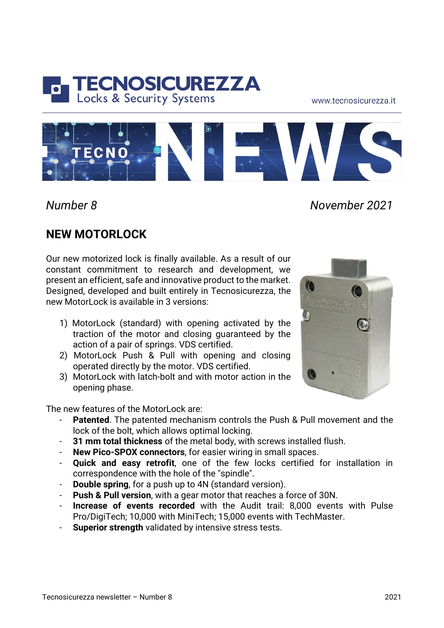

www.tecnosicurezza.it



*Number 8 November 2021*

## **NEW MOTORLOCK**

Our new motorized lock is finally available. As a result of our constant commitment to research and development, we present an efficient, safe and innovative product to the market. Designed, developed and built entirely in Tecnosicurezza, the new Motorl ock is available in 3 versions:

- 1) MotorLock (standard) with opening activated by the traction of the motor and closing guaranteed by the action of a pair of springs. VDS certified.
- 2) MotorLock Push & Pull with opening and closing operated directly by the motor. VDS certified.
- 3) MotorLock with latch-bolt and with motor action in the opening phase.

The new features of the MotorLock are:

- **Patented**. The patented mechanism controls the Push & Pull movement and the lock of the bolt, which allows optimal locking.
- **31 mm total thickness** of the metal body, with screws installed flush.
- **New Pico-SPOX connectors**, for easier wiring in small spaces.
- **Quick and easy retrofit**, one of the few locks certified for installation in correspondence with the hole of the "spindle".
- **Double spring**, for a push up to 4N (standard version).
- **Push & Pull version**, with a gear motor that reaches a force of 30N.
- **Increase of events recorded** with the Audit trail: 8,000 events with Pulse Pro/DigiTech; 10,000 with MiniTech; 15,000 events with TechMaster.
- **Superior strength** validated by intensive stress tests.